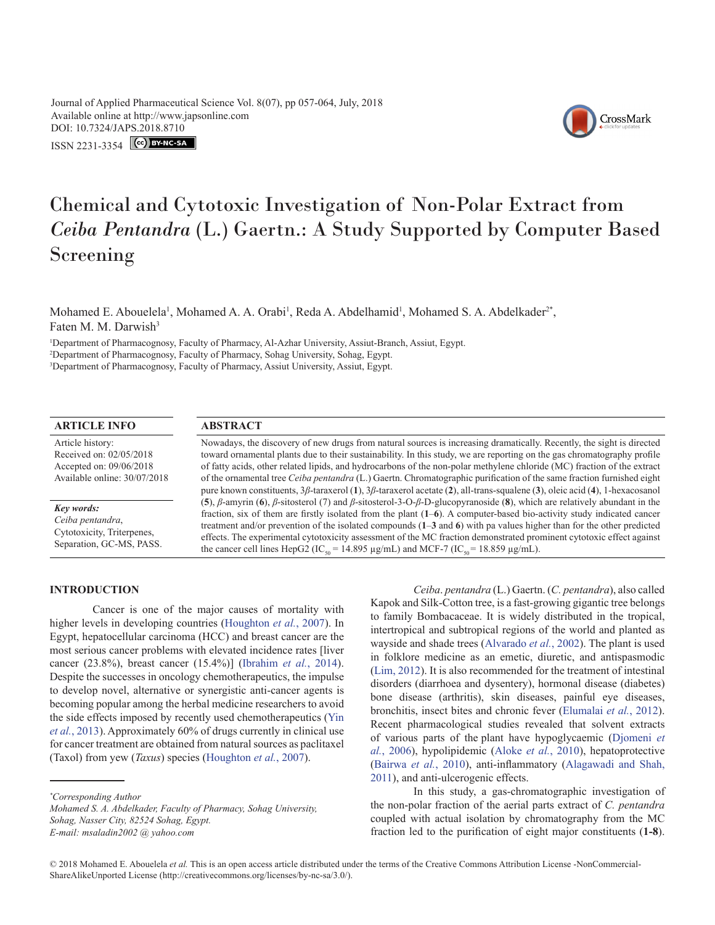Journal of Applied Pharmaceutical Science Vol. 8(07), pp 057-064, July, 2018 Available online at http://www.japsonline.com DOI: 10.7324/JA[PS.2018.8710](https://creativecommons.org/licenses/by-nc-sa/3.0/)

ISSN 2231-3354 **(cc) BY-NC-SA** 



# Chemical and Cytotoxic Investigation of Non-Polar Extract from *Ceiba Pentandra* (L.) Gaertn.: A Study Supported by Computer Based Screening

Mohamed E. Abouelela<sup>1</sup>, Mohamed A. A. Orabi<sup>1</sup>, Reda A. Abdelhamid<sup>1</sup>, Mohamed S. A. Abdelkader<sup>2\*</sup>, Faten M. M. Darwish<sup>3</sup>

1 Department of Pharmacognosy, Faculty of Pharmacy, Al-Azhar University, Assiut-Branch, Assiut, Egypt. 2 Department of Pharmacognosy, Faculty of Pharmacy, Sohag University, Sohag, Egypt. 3 Department of Pharmacognosy, Faculty of Pharmacy, Assiut University, Assiut, Egypt.

#### **ARTICLE INFO ABSTRACT**

Article history: Received on: 02/05/2018 Accepted on: 09/06/2018 Available online: 30/07/2018

*Key words:*

*Ceiba pentandra*, Cytotoxicity, Triterpenes, Separation, GC-MS, PASS. Nowadays, the discovery of new drugs from natural sources is increasing dramatically. Recently, the sight is directed toward ornamental plants due to their sustainability. In this study, we are reporting on the gas chromatography profile of fatty acids, other related lipids, and hydrocarbons of the non-polar methylene chloride (MC) fraction of the extract of the ornamental tree *Ceiba pentandra* (L.) Gaertn. Chromatographic purification of the same fraction furnished eight pure known constituents, 3*β*-taraxerol (**1**), 3*β*-taraxerol acetate (**2**), all-trans-squalene (**3**), oleic acid (**4**), 1-hexacosanol (**5**), *β*-amyrin (**6**), *β*-sitosterol (7) and *β*-sitosterol-3-O-*β*-D-glucopyranoside (**8**), which are relatively abundant in the fraction, six of them are firstly isolated from the plant (**1**‒**6**). A computer-based bio-activity study indicated cancer treatment and/or prevention of the isolated compounds (**1**‒**3** and **6**) with pa values higher than for the other predicted effects. The experimental cytotoxicity assessment of the MC fraction demonstrated prominent cytotoxic effect against the cancer cell lines HepG2 (IC<sub>50</sub> = 14.895 µg/mL) and MCF-7 (IC<sub>50</sub> = 18.859 µg/mL).

### **INTRODUCTION**

Cancer is one of the major causes of mortality with higher levels in developing countries ([Houghton](#page-7-0) *et al.*, 2007). In Egypt, hepatocellular carcinoma (HCC) and breast cancer are the most serious cancer problems with elevated incidence rates [liver cancer (23.8%), breast cancer (15.4%)] ([Ibrahim](#page-7-1) *et al.*, 2014). Despite the successes in oncology chemotherapeutics, the impulse to develop novel, alternative or synergistic anti-cancer agents is becoming popular among the herbal medicine researchers to avoid the side effects imposed by recently used chemotherapeutics ([Yin](#page-7-2)  *et al.*[, 2013](#page-7-2)). Approximately 60% of drugs currently in clinical use for cancer treatment are obtained from natural sources as paclitaxel (Taxol) from yew (*Taxus*) species ([Houghton](#page-7-0) *et al.*, 2007).

*Ceiba*. *pentandra* (L.) Gaertn. (*C. pentandra*), also called Kapok and Silk-Cotton tree, is a fast-growing gigantic tree belongs to family Bombacaceae. It is widely distributed in the tropical, intertropical and subtropical regions of the world and planted as wayside and shade trees [\(Alvarado](#page-6-0) *et al.*, 2002). The plant is used in folklore medicine as an emetic, diuretic, and antispasmodic ([Lim, 2012](#page-7-3)). It is also recommended for the treatment of intestinal disorders (diarrhoea and dysentery), hormonal disease (diabetes) bone disease (arthritis), skin diseases, painful eye diseases, bronchitis, insect bites and chronic fever ([Elumalai](#page-6-1) *et al.*, 2012). Recent pharmacological studies revealed that solvent extracts of various parts of the plant have hypoglycaemic ([Djomeni](#page-6-2) *et al.*[, 2006](#page-6-2)), hypolipidemic ([Aloke](#page-6-3) *et al.*, 2010), hepatoprotective ([Bairwa](#page-6-4) *et al.*, 2010), anti-inflammatory ([Alagawadi and Shah,](#page-6-5) [2011](#page-6-5)), and anti-ulcerogenic effects.

In this study, a gas-chromatographic investigation of the non-polar fraction of the aerial parts extract of *C. pentandra* coupled with actual isolation by chromatography from the MC fraction led to the purification of eight major constituents (**1-8**).

*<sup>\*</sup> Corresponding Author*

*Mohamed S. A. Abdelkader, Faculty of Pharmacy, Sohag University, Sohag, Nasser City, 82524 Sohag, Egypt. E-mail: msaladin2002 @ yahoo.com*

<sup>© 2018</sup> Mohamed E. Abouelela *et al.* This is an open access article distributed under the terms of the Creative Commons Attribution License -NonCommercial-ShareAlikeUnported License (http://creativecommons.org/licenses/by-nc-sa/3.0/).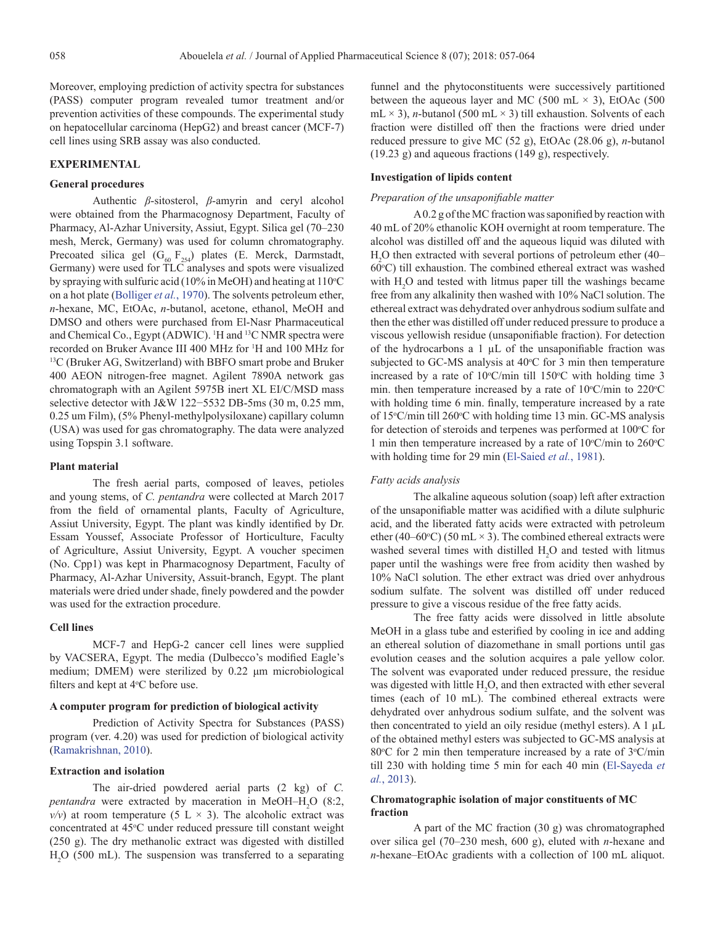Moreover, employing prediction of activity spectra for substances (PASS) computer program revealed tumor treatment and/or prevention activities of these compounds. The experimental study on hepatocellular carcinoma (HepG2) and breast cancer (MCF-7) cell lines using SRB assay was also conducted.

# **EXPERIMENTAL**

# **General procedures**

Authentic *β*-sitosterol, *β*-amyrin and ceryl alcohol were obtained from the Pharmacognosy Department, Faculty of Pharmacy, Al-Azhar University, Assiut, Egypt. Silica gel (70–230 mesh, Merck, Germany) was used for column chromatography. Precoated silica gel  $(G_{60} F_{254})$  plates (E. Merck, Darmstadt, Germany) were used for TLC analyses and spots were visualized by spraying with sulfuric acid (10% in MeOH) and heating at  $110^{\circ}$ C on a hot plate (Bolliger *et al.*, 1970). The solvents petroleum ether, *n*-hexane, MC, EtOAc, *n*-butanol, acetone, ethanol, MeOH and DMSO and others were purchased from El-Nasr Pharmaceutical and Chemical Co., Egypt (ADWIC). <sup>1</sup>H and <sup>13</sup>C NMR spectra were recorded on Bruker Avance III 400 MHz for <sup>1</sup>H and 100 MHz for  $^{13}$ C (Bruker AG, Switzerland) with BBFO smart probe and Bruker 400 AEON nitrogen-free magnet. Agilent 7890A network gas chromatograph with an Agilent 5975B inert XL EI/C/MSD mass selective detector with J&W 122-5532 DB-5ms (30 m, 0.25 mm, 0.25 um Film), (5% Phenyl-methylpolysiloxane) capillary column (USA) was used for gas chromatography. The data were analyzed using Topspin 3.1 software.

# **Plant material**

The fresh aerial parts, composed of leaves, petioles and young stems, of *C. pentandra* were collected at March 2017 from the field of ornamental plants, Faculty of Agriculture, Assiut University, Egypt. The plant was kindly identified by Dr. Essam Youssef, Associate Professor of Horticulture, Faculty of Agriculture, Assiut University, Egypt. A voucher specimen (No. Cpp1) was kept in Pharmacognosy Department, Faculty of Pharmacy, Al-Azhar University, Assuit-branch, Egypt. The plant materials were dried under shade, finely powdered and the powder was used for the extraction procedure.

# **Cell lines**

MCF-7 and HepG-2 cancer cell lines were supplied by VACSERA, Egypt. The media (Dulbecco's modified Eagle's medium; DMEM) were sterilized by 0.22 μm microbiological filters and kept at  $4^{\circ}$ C before use.

# **A computer program for prediction of biological activity**

Prediction of Activity Spectra for Substances (PASS) program (ver. 4.20) was used for prediction of biological activity ([Ramakrishnan, 2010](#page-7-4)).

# **Extraction and isolation**

The air-dried powdered aerial parts (2 kg) of *C. pentandra* were extracted by maceration in MeOH-H<sub>2</sub>O (8:2,  $v/v$ ) at room temperature (5 L  $\times$  3). The alcoholic extract was concentrated at 45°C under reduced pressure till constant weight (250 g). The dry methanolic extract was digested with distilled H2 O (500 mL). The suspension was transferred to a separating

funnel and the phytoconstituents were successively partitioned between the aqueous layer and MC (500 mL  $\times$  3), EtOAc (500 mL  $\times$  3), *n*-butanol (500 mL  $\times$  3) till exhaustion. Solvents of each fraction were distilled off then the fractions were dried under reduced pressure to give MC (52 g), EtOAc (28.06 g), *n*-butanol (19.23 g) and aqueous fractions (149 g), respectively.

#### **Investigation of lipids content**

# *Preparation of the unsaponifiable matter*

A 0.2 g of the MC fraction was saponified by reaction with 40 mL of 20% ethanolic KOH overnight at room temperature. The alcohol was distilled off and the aqueous liquid was diluted with H2 O then extracted with several portions of petroleum ether (40– 60°C) till exhaustion. The combined ethereal extract was washed with  $H_2O$  and tested with litmus paper till the washings became free from any alkalinity then washed with 10% NaCl solution. The ethereal extract was dehydrated over anhydrous sodium sulfate and then the ether was distilled off under reduced pressure to produce a viscous yellowish residue (unsaponifiable fraction). For detection of the hydrocarbons a 1 µL of the unsaponifiable fraction was subjected to GC-MS analysis at 40°C for 3 min then temperature increased by a rate of  $10^{\circ}$ C/min till  $150^{\circ}$ C with holding time 3 min. then temperature increased by a rate of  $10^{\circ}$ C/min to  $220^{\circ}$ C with holding time 6 min. finally, temperature increased by a rate of 15°C/min till 260°C with holding time 13 min. GC-MS analysis for detection of steroids and terpenes was performed at  $100^{\circ}$ C for 1 min then temperature increased by a rate of  $10^{\circ}$ C/min to  $260^{\circ}$ C with holding time for 29 min [\(El-Saied](#page-6-6) *et al.*, 1981).

# *Fatty acids analysis*

The alkaline aqueous solution (soap) left after extraction of the unsaponifiable matter was acidified with a dilute sulphuric acid, and the liberated fatty acids were extracted with petroleum ether (40–60°C) (50 mL  $\times$  3). The combined ethereal extracts were washed several times with distilled  $H_2O$  and tested with litmus paper until the washings were free from acidity then washed by 10% NaCl solution. The ether extract was dried over anhydrous sodium sulfate. The solvent was distilled off under reduced pressure to give a viscous residue of the free fatty acids.

The free fatty acids were dissolved in little absolute MeOH in a glass tube and esterified by cooling in ice and adding an ethereal solution of diazomethane in small portions until gas evolution ceases and the solution acquires a pale yellow color. The solvent was evaporated under reduced pressure, the residue was digested with little  $H_2O$ , and then extracted with ether several times (each of 10 mL). The combined ethereal extracts were dehydrated over anhydrous sodium sulfate, and the solvent was then concentrated to yield an oily residue (methyl esters). A 1 µL of the obtained methyl esters was subjected to GC-MS analysis at 80 $\degree$ C for 2 min then temperature increased by a rate of  $3\degree$ C/min till 230 with holding time 5 min for each 40 min ([El-Sayeda](#page-6-7) *et al.*[, 2013](#page-6-7)).

# **Chromatographic isolation of major constituents of MC fraction**

A part of the MC fraction (30 g) was chromatographed over silica gel (70–230 mesh, 600 g), eluted with *n*-hexane and *n*-hexane–EtOAc gradients with a collection of 100 mL aliquot.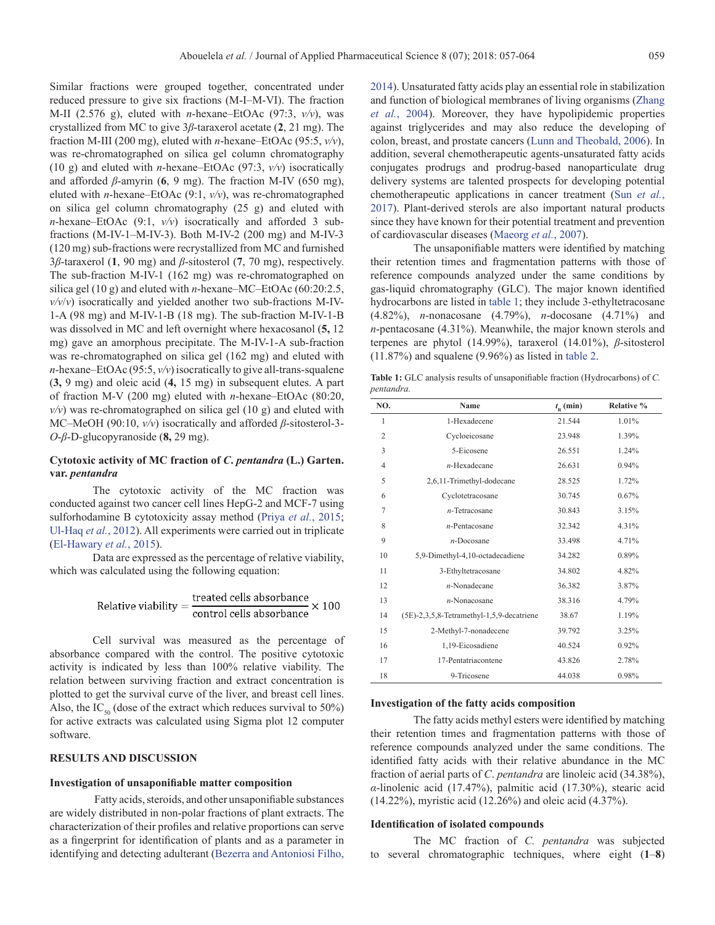Similar fractions were grouped together, concentrated under reduced pressure to give six fractions (M-I–M-VI). The fraction M-II (2.576 g), eluted with *n*-hexane–EtOAc (97:3, *v/v*), was crystallized from MC to give 3*β*-taraxerol acetate (**2**, 21 mg). The fraction M-III (200 mg), eluted with *n*-hexane–EtOAc (95:5, *v/v*), was re-chromatographed on silica gel column chromatography (10 g) and eluted with *n*-hexane–EtOAc (97:3, *v/v*) isocratically and afforded *β*-amyrin (**6**, 9 mg). The fraction M-IV (650 mg), eluted with *n*-hexane–EtOAc (9:1, *v/v*), was re-chromatographed on silica gel column chromatography (25 g) and eluted with *n*-hexane–EtOAc (9:1, *v/v*) isocratically and afforded 3 subfractions (M-IV-1–M-IV-3). Both M-IV-2 (200 mg) and M-IV-3 (120 mg) sub-fractions were recrystallized from MC and furnished 3*β*-taraxerol (**1**, 90 mg) and *β*-sitosterol (**7**, 70 mg), respectively. The sub-fraction M-IV-1 (162 mg) was re-chromatographed on silica gel (10 g) and eluted with *n*-hexane–MC–EtOAc (60:20:2.5, *v/v*/*v*) isocratically and yielded another two sub-fractions M-IV-1-A (98 mg) and M-IV-1-B (18 mg). The sub-fraction M-IV-1-B was dissolved in MC and left overnight where hexacosanol (**5,** 12 mg) gave an amorphous precipitate. The M-IV-1-A sub-fraction was re-chromatographed on silica gel (162 mg) and eluted with *n*-hexane–EtOAc (95:5,  $v/v$ ) isocratically to give all-trans-squalene (**3,** 9 mg) and oleic acid (**4,** 15 mg) in subsequent elutes. A part of fraction M-V (200 mg) eluted with *n*-hexane–EtOAc (80:20,  $v/v$ ) was re-chromatographed on silica gel  $(10 \text{ g})$  and eluted with MC–MeOH (90:10, *v/v*) isocratically and afforded *β*-sitosterol-3- *O*-*β*-D-glucopyranoside (**8,** 29 mg).

# **Cytotoxic activity of MC fraction of** *C***.** *pentandra* **(L.) Garten. var.** *pentandra*

The cytotoxic activity of the MC fraction was conducted against two cancer cell lines HepG-2 and MCF-7 using sulforhodamine B cytotoxicity assay method (Priya *et al.*[, 2015;](#page-7-5) [Ul-Haq](#page-7-6) *et al.*, 2012). All experiments were carried out in triplicate ([El-Hawary](#page-6-8) *et al.*, 2015).

Data are expressed as the percentage of relative viability, which was calculated using the following equation:

Relative viability = 
$$
\frac{\text{treated cells absorbance}}{\text{control cells absorbance}} \times 100
$$

Cell survival was measured as the percentage of absorbance compared with the control. The positive cytotoxic activity is indicated by less than 100% relative viability. The relation between surviving fraction and extract concentration is plotted to get the survival curve of the liver, and breast cell lines. Also, the IC<sub>50</sub> (dose of the extract which reduces survival to 50%) for active extracts was calculated using Sigma plot 12 computer software.

# **RESULTS AND DISCUSSION**

#### **Investigation of unsaponifiable matter composition**

Fatty acids, steroids, and other unsaponifiable substances are widely distributed in non-polar fractions of plant extracts. The characterization of their profiles and relative proportions can serve as a fingerprint for identification of plants and as a parameter in identifying and detecting adulterant [\(Bezerra and Antoniosi Filho,](#page-6-9) 

[2014\)](#page-6-9). Unsaturated fatty acids play an essential role in stabilization and function of biological membranes of living organisms (Zhang *et al.*, 2004). Moreover, they have hypolipidemic properties against triglycerides and may also reduce the developing of colon, breast, and prostate cancers ([Lunn and Theobald, 2006\)](#page-7-7). In addition, several chemotherapeutic agents-unsaturated fatty acids conjugates prodrugs and prodrug-based nanoparticulate drug delivery systems are talented prospects for developing potential chemotherapeutic applications in cancer treatment (Sun *[et al.](#page-7-8)*, [2017\)](#page-7-8). Plant-derived sterols are also important natural products since they have known for their potential treatment and prevention of cardiovascular diseases (Maeorg *et al.*, 2007).

The unsaponifiable matters were identified by matching their retention times and fragmentation patterns with those of reference compounds analyzed under the same conditions by gas-liquid chromatography (GLC). The major known identified hydrocarbons are listed in [table 1;](#page-2-0) they include 3-ethyltetracosane (4.82%), *n*-nonacosane (4.79%), *n*-docosane (4.71%) and *n*-pentacosane (4.31%). Meanwhile, the major known sterols and terpenes are phytol (14.99%), taraxerol (14.01%), *β*-sitosterol (11.87%) and squalene (9.96%) as listed in [table 2.](#page-3-0)

<span id="page-2-0"></span>**Table 1:** GLC analysis results of unsaponifiable fraction (Hydrocarbons) of *C. pentandra.*

| NO.            | <b>Name</b>                                  | $t_{\rm R}$ (min) | Relative % |
|----------------|----------------------------------------------|-------------------|------------|
| $\mathbf{1}$   | 1-Hexadecene                                 | 21.544            | 1.01%      |
| $\overline{2}$ | Cycloeicosane                                | 23.948            | 1.39%      |
| 3              | 5-Eicosene                                   | 26.551            | 1.24%      |
| 4              | $n$ -Hexadecane                              | 26.631            | 0.94%      |
| 5              | 2,6,11-Trimethyl-dodecane                    | 28.525            | 1.72%      |
| 6              | Cyclotetracosane                             | 30.745            | 0.67%      |
| 7              | $n$ -Tetracosane                             | 30.843            | 3.15%      |
| 8              | $n$ -Pentacosane                             | 32.342            | 4.31%      |
| 9              | $n$ -Docosane                                | 33.498            | 4.71%      |
| 10             | 5,9-Dimethyl-4,10-octadecadiene              | 34.282            | 0.89%      |
| 11             | 3-Ethyltetracosane                           | 34.802            | 4.82%      |
| 12             | $n$ -Nonadecane                              | 36.382            | 3.87%      |
| 13             | $n$ -Nonacosane                              | 38.316            | 4.79%      |
| 14             | $(5E)$ -2,3,5,8-Tetramethyl-1,5,9-decatriene | 38.67             | 1.19%      |
| 15             | 2-Methyl-7-nonadecene                        | 39.792            | 3.25%      |
| 16             | 1,19-Eicosadiene                             | 40.524            | 0.92%      |
| 17             | 17-Pentatriacontene                          | 43.826            | 2.78%      |
| 18             | 9-Tricosene                                  | 44.038            | 0.98%      |

#### **Investigation of the fatty acids composition**

The fatty acids methyl esters were identified by matching their retention times and fragmentation patterns with those of reference compounds analyzed under the same conditions. The identified fatty acids with their relative abundance in the MC fraction of aerial parts of *C*. *pentandra* are linoleic acid (34.38%), *α*-linolenic acid (17.47%), palmitic acid (17.30%), stearic acid (14.22%), myristic acid (12.26%) and oleic acid (4.37%).

# **Identification of isolated compounds**

The MC fraction of *C. pentandra* was subjected to several chromatographic techniques, where eight (**1**–**8**)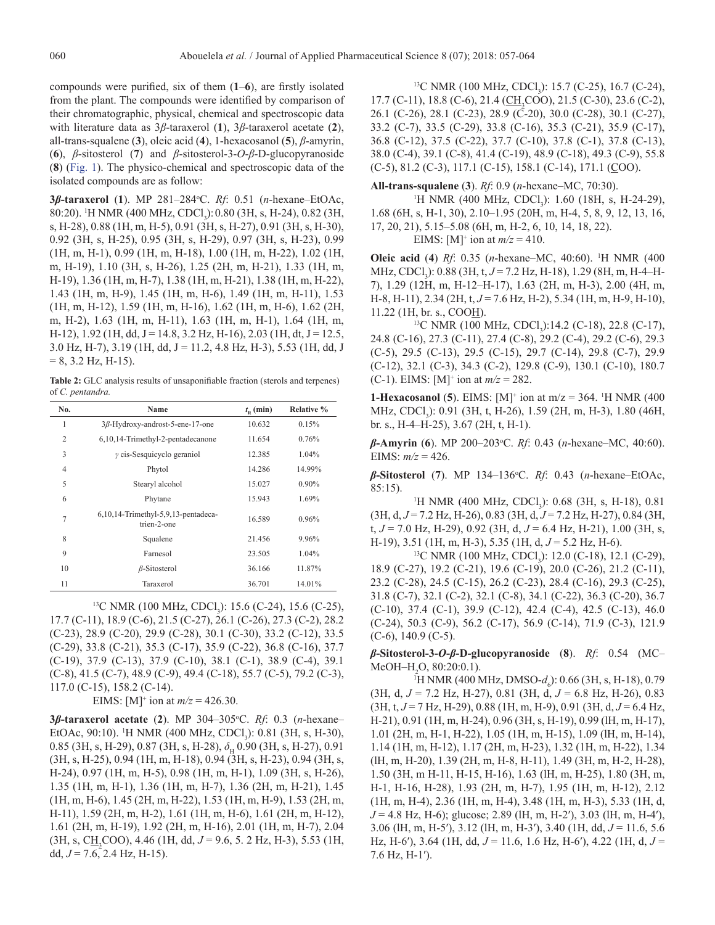compounds were purified, six of them (**1**–**6**), are firstly isolated from the plant. The compounds were identified by comparison of their chromatographic, physical, chemical and spectroscopic data with literature data as 3*β*-taraxerol (**1**), 3*β*-taraxerol acetate (**2**), all-trans-squalene (**3**), oleic acid (**4**), 1-hexacosanol (**5**), *β*-amyrin, (**6**), *β*-sitosterol (**7**) and *β*-sitosterol-3-*O*-*β*-D-glucopyranoside (**8**) [\(Fig. 1](#page-4-0)). The physico-chemical and spectroscopic data of the isolated compounds are as follow:

**3***β***-taraxerol** (**1**). MP 281–284o C. *Rf*: 0.51 (*n*-hexane–EtOAc, 80:20). <sup>1</sup>H NMR (400 MHz, CDCl<sub>3</sub>): 0.80 (3H, s, H-24), 0.82 (3H, s, H-28), 0.88 (1H, m, H-5), 0.91 (3H, s, H-27), 0.91 (3H, s, H-30), 0.92 (3H, s, H-25), 0.95 (3H, s, H-29), 0.97 (3H, s, H-23), 0.99 (1H, m, H-1), 0.99 (1H, m, H-18), 1.00 (1H, m, H-22), 1.02 (1H, m, H-19), 1.10 (3H, s, H-26), 1.25 (2H, m, H-21), 1.33 (1H, m, H-19), 1.36 (1H, m, H-7), 1.38 (1H, m, H-21), 1.38 (1H, m, H-22), 1.43 (1H, m, H-9), 1.45 (1H, m, H-6), 1.49 (1H, m, H-11), 1.53 (1H, m, H-12), 1.59 (1H, m, H-16), 1.62 (1H, m, H-6), 1.62 (2H, m, H-2), 1.63 (1H, m, H-11), 1.63 (1H, m, H-1), 1.64 (1H, m, H-12), 1.92 (1H, dd, J = 14.8, 3.2 Hz, H-16), 2.03 (1H, dt, J = 12.5,  $3.0$  Hz, H-7),  $3.19$  (1H, dd, J = 11.2, 4.8 Hz, H-3),  $5.53$  (1H, dd, J  $= 8, 3.2$  Hz, H-15).

<span id="page-3-0"></span>**Table 2:** GLC analysis results of unsaponifiable fraction (sterols and terpenes) of *C. pentandra.*

| No.            | Name                                               | $t_{\rm p}$ (min) | <b>Relative %</b> |
|----------------|----------------------------------------------------|-------------------|-------------------|
| 1              | $3\beta$ -Hydroxy-androst-5-ene-17-one             | 10.632            | 0.15%             |
| $\overline{2}$ | 6,10,14-Trimethyl-2-pentadecanone                  | 11.654            | 0.76%             |
| 3              | $\gamma$ cis-Sesquicyclo geraniol                  | 12.385            | $1.04\%$          |
| 4              | Phytol                                             | 14.286            | 14.99%            |
| 5              | Stearyl alcohol                                    | 15.027            | $0.90\%$          |
| 6              | Phytane                                            | 15.943            | 1.69%             |
| $\overline{7}$ | 6,10,14-Trimethyl-5,9,13-pentadeca-<br>trien-2-one | 16.589            | 0.96%             |
| 8              | Squalene                                           | 21.456            | 9.96%             |
| 9              | Farnesol                                           | 23.505            | $1.04\%$          |
| 10             | $\beta$ -Sitosterol                                | 36.166            | 11.87%            |
| 11             | Taraxerol                                          | 36.701            | 14.01%            |

<sup>13</sup>C NMR (100 MHz, CDCl<sub>3</sub>): 15.6 (C-24), 15.6 (C-25), 17.7 (C-11), 18.9 (C-6), 21.5 (C-27), 26.1 (C-26), 27.3 (C-2), 28.2 (C-23), 28.9 (C-20), 29.9 (C-28), 30.1 (C-30), 33.2 (C-12), 33.5 (C-29), 33.8 (C-21), 35.3 (C-17), 35.9 (C-22), 36.8 (C-16), 37.7 (C-19), 37.9 (C-13), 37.9 (C-10), 38.1 (C-1), 38.9 (C-4), 39.1 (C-8), 41.5 (C-7), 48.9 (C-9), 49.4 (C-18), 55.7 (C-5), 79.2 (C-3), 117.0 (C-15), 158.2 (C-14).

EIMS: [M]<sup>+</sup> ion at  $m/z = 426.30$ .

**3***β***-taraxerol acetate** (**2**). MP 304–305o C. *Rf*: 0.3 (*n*-hexane– EtOAc, 90:10). <sup>1</sup>H NMR (400 MHz, CDCl<sub>3</sub>): 0.81 (3H, s, H-30), 0.85 (3H, s, H-29), 0.87 (3H, s, H-28),  $\delta$ <sub>H</sub> 0.90 (3H, s, H-27), 0.91 (3H, s, H-25), 0.94 (1H, m, H-18), 0.94 (3H, s, H-23), 0.94 (3H, s, H-24), 0.97 (1H, m, H-5), 0.98 (1H, m, H-1), 1.09 (3H, s, H-26), 1.35 (1H, m, H-1), 1.36 (1H, m, H-7), 1.36 (2H, m, H-21), 1.45 (1H, m, H-6), 1.45 (2H, m, H-22), 1.53 (1H, m, H-9), 1.53 (2H, m, H-11), 1.59 (2H, m, H-2), 1.61 (1H, m, H-6), 1.61 (2H, m, H-12), 1.61 (2H, m, H-19), 1.92 (2H, m, H-16), 2.01 (1H, m, H-7), 2.04  $(3H, s, C\underline{H}_2COO)$ , 4.46 (1H, dd,  $J = 9.6$ , 5.2 Hz, H-3), 5.53 (1H, dd,  $J = 7.6$ , 2.4 Hz, H-15).

<sup>13</sup>C NMR (100 MHz, CDCl<sub>3</sub>): 15.7 (C-25), 16.7 (C-24), 17.7 (C-11), 18.8 (C-6), 21.4 (CH<sub>3</sub>COO), 21.5 (C-30), 23.6 (C-2), 26.1 (C-26), 28.1 (C-23), 28.9 (C-20), 30.0 (C-28), 30.1 (C-27), 33.2 (C-7), 33.5 (C-29), 33.8 (C-16), 35.3 (C-21), 35.9 (C-17), 36.8 (C-12), 37.5 (C-22), 37.7 (C-10), 37.8 (C-1), 37.8 (C-13), 38.0 (C-4), 39.1 (C-8), 41.4 (C-19), 48.9 (C-18), 49.3 (C-9), 55.8  $(C-5)$ , 81.2  $(C-3)$ , 117.1  $(C-15)$ , 158.1  $(C-14)$ , 171.1  $(\underline{C}OO)$ .

**All-trans-squalene** (**3**). *Rf*: 0.9 (*n*-hexane–MC, 70:30).

<sup>1</sup>H NMR (400 MHz, CDCl<sub>3</sub>): 1.60 (18H, s, H-24-29), 1.68 (6H, s, H-1, 30), 2.10–1.95 (20H, m, H-4, 5, 8, 9, 12, 13, 16, 17, 20, 21), 5.15–5.08 (6H, m, H-2, 6, 10, 14, 18, 22). EIMS: [M]<sup>+</sup> ion at  $m/z = 410$ .

**Oleic acid** (**4**) *Rf*: 0.35 (*n*-hexane–MC, 40:60). 1 H NMR (400 MHz, CDCl<sub>3</sub>): 0.88 (3H, t, *J* = 7.2 Hz, H-18), 1.29 (8H, m, H-4–H-7), 1.29 (12H, m, H-12–H-17), 1.63 (2H, m, H-3), 2.00 (4H, m, H-8, H-11), 2.34 (2H, t, *J* = 7.6 Hz, H-2), 5.34 (1H, m, H-9, H-10),

11.22 (1H, br. s., COO<u>H</u>).<br><sup>13</sup>C NMR (100 MHz, CDCl<sub>3</sub>):14.2 (C-18), 22.8 (C-17), 24.8 (C-16), 27.3 (C-11), 27.4 (C-8), 29.2 (C-4), 29.2 (C-6), 29.3 (C-5), 29.5 (C-13), 29.5 (C-15), 29.7 (C-14), 29.8 (C-7), 29.9 (C-12), 32.1 (C-3), 34.3 (C-2), 129.8 (C-9), 130.1 (C-10), 180.7  $(C-1)$ . EIMS: [M]<sup>+</sup> ion at  $m/z = 282$ .

**1-Hexacosanol** (**5**). EIMS:  $[M]^+$  ion at m/z = 364. <sup>1</sup>H NMR (400) MHz, CDCl<sub>3</sub>): 0.91 (3H, t, H-26), 1.59 (2H, m, H-3), 1.80 (46H, br. s., H-4–H-25), 3.67 (2H, t, H-1).

*β***-Amyrin** (**6**). MP 200–203o C. *Rf*: 0.43 (*n*-hexane–MC, 40:60). EIMS:  $m/z = 426$ .

*β***-Sitosterol** (**7**). MP 134–136o C. *Rf*: 0.43 (*n*-hexane–EtOAc, 85:15).

<sup>1</sup>H NMR (400 MHz, CDCl<sub>3</sub>): 0.68 (3H, s, H-18), 0.81 (3H, d, *J* = 7.2 Hz, H-26), 0.83 (3H, d, *J* = 7.2 Hz, H-27), 0.84 (3H, t, *J* = 7.0 Hz, H-29), 0.92 (3H, d, *J* = 6.4 Hz, H-21), 1.00 (3H, s, H-19), 3.51 (1H, m, H-3), 5.35 (1H, d,  $J = 5.2$  Hz, H-6).

<sup>13</sup>C NMR (100 MHz, CDCl,): 12.0 (C-18), 12.1 (C-29), 18.9 (C-27), 19.2 (C-21), 19.6 (C-19), 20.0 (C-26), 21.2 (C-11), 23.2 (C-28), 24.5 (C-15), 26.2 (C-23), 28.4 (C-16), 29.3 (C-25), 31.8 (C-7), 32.1 (C-2), 32.1 (C-8), 34.1 (C-22), 36.3 (C-20), 36.7 (C-10), 37.4 (C-1), 39.9 (C-12), 42.4 (C-4), 42.5 (C-13), 46.0 (C-24), 50.3 (C-9), 56.2 (C-17), 56.9 (C-14), 71.9 (C-3), 121.9 (C-6), 140.9 (C-5).

*β***-Sitosterol-3-***O***-***β***-D-glucopyranoside** (**8**). *Rf*: 0.54 (MC– MeOH–H<sub>2</sub>O, 80:20:0.1).

<sup>1</sup>H NMR (400 MHz, DMSO-*d*<sub>6</sub>): 0.66 (3H, s, H-18), 0.79 (3H, d, *J* = 7.2 Hz, H-27), 0.81 (3H, d, *J* = 6.8 Hz, H-26), 0.83 (3H, t, *J* = 7 Hz, H-29), 0.88 (1H, m, H-9), 0.91 (3H, d, *J* = 6.4 Hz, H-21), 0.91 (1H, m, H-24), 0.96 (3H, s, H-19), 0.99 (lH, m, H-17), 1.01 (2H, m, H-1, H-22), 1.05 (1H, m, H-15), 1.09 (lH, m, H-14), 1.14 (1H, m, H-12), 1.17 (2H, m, H-23), 1.32 (1H, m, H-22), 1.34 (lH, m, H-20), 1.39 (2H, m, H-8, H-11), 1.49 (3H, m, H-2, H-28), 1.50 (3H, m H-11, H-15, H-16), 1.63 (lH, m, H-25), 1.80 (3H, m, H-1, H-16, H-28), 1.93 (2H, m, H-7), 1.95 (1H, m, H-12), 2.12 (1H, m, H-4), 2.36 (1H, m, H-4), 3.48 (1H, m, H-3), 5.33 (1H, d, *J* = 4.8 Hz, H-6); glucose; 2.89 (lH, m, H-2ʹ), 3.03 (lH, m, H-4ʹ), 3.06 (lH, m, H-5ʹ), 3.12 (lH, m, H-3ʹ), 3.40 (1H, dd, *J* = 11.6, 5.6 Hz, H-6ʹ), 3.64 (1H, dd, *J* = 11.6, 1.6 Hz, H-6ʹ), 4.22 (1H, d, *J* = 7.6 Hz, H-1ʹ).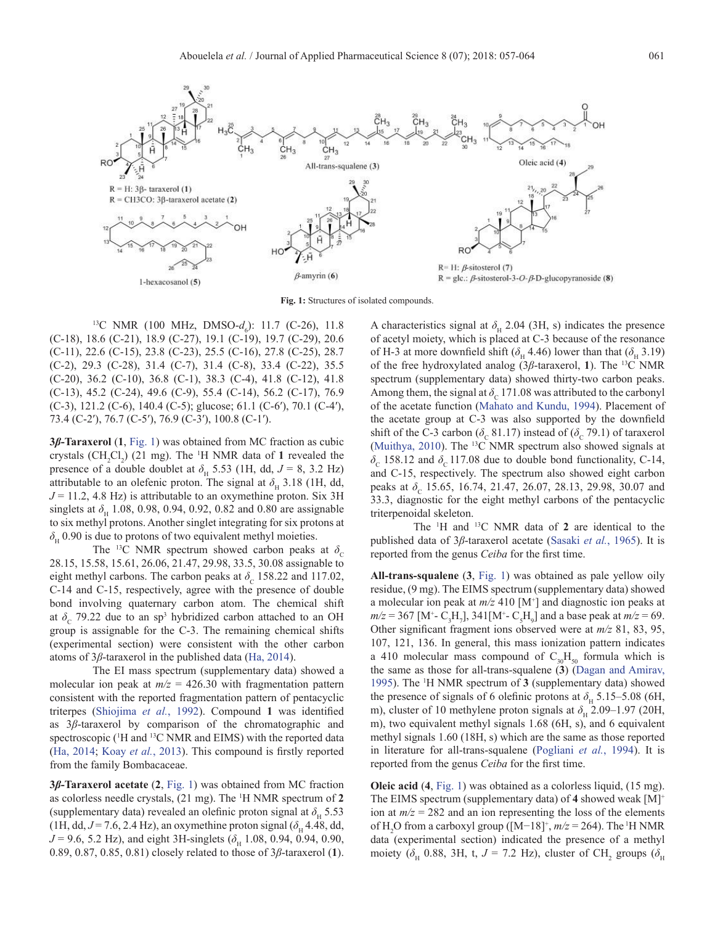

**Fig. 1:** Structures of isolated compounds.

<sup>13</sup>C NMR (100 MHz, DMSO- $d_6$ ): 11.7 (C-26), 11.8 (C-18), 18.6 (C-21), 18.9 (C-27), 19.1 (C-19), 19.7 (C-29), 20.6 (C-11), 22.6 (C-15), 23.8 (C-23), 25.5 (C-16), 27.8 (C-25), 28.7 (C-2), 29.3 (C-28), 31.4 (C-7), 31.4 (C-8), 33.4 (C-22), 35.5 (C-20), 36.2 (C-10), 36.8 (C-1), 38.3 (C-4), 41.8 (C-12), 41.8 (C-13), 45.2 (C-24), 49.6 (C-9), 55.4 (C-14), 56.2 (C-17), 76.9 (C-3), 121.2 (C-6), 140.4 (C-5); glucose; 61.1 (C-6ʹ), 70.1 (C-4ʹ), 73.4 (C-2ʹ), 76.7 (C-5ʹ), 76.9 (C-3ʹ), 100.8 (C-1ʹ).

**3***β***-Taraxerol** (**1**, [Fig. 1](#page-4-0)) was obtained from MC fraction as cubic crystals  $(CH_2Cl_2)$  (21 mg). The <sup>1</sup>H NMR data of 1 revealed the presence of a double doublet at  $\delta_{\rm H}$  5.53 (1H, dd,  $J = 8$ , 3.2 Hz) attributable to an olefenic proton. The signal at  $\delta_{\rm H}$  3.18 (1H, dd,  $J = 11.2$ , 4.8 Hz) is attributable to an oxymethine proton. Six 3H singlets at  $\delta_{\rm H}$  1.08, 0.98, 0.94, 0.92, 0.82 and 0.80 are assignable to six methyl protons. Another singlet integrating for six protons at  $\delta_H$  0.90 is due to protons of two equivalent methyl moieties.

The <sup>13</sup>C NMR spectrum showed carbon peaks at  $\delta_c$ 28.15, 15.58, 15.61, 26.06, 21.47, 29.98, 33.5, 30.08 assignable to eight methyl carbons. The carbon peaks at  $\delta_c$  158.22 and 117.02, C-14 and C-15, respectively, agree with the presence of double bond involving quaternary carbon atom. The chemical shift at  $\delta_c$  79.22 due to an sp<sup>3</sup> hybridized carbon attached to an OH group is assignable for the C-3. The remaining chemical shifts (experimental section) were consistent with the other carbon atoms of 3*β*-taraxerol in the published data ([Ha, 2014](#page-7-9)).

The EI mass spectrum (supplementary data) showed a molecular ion peak at  $m/z = 426.30$  with fragmentation pattern consistent with the reported fragmentation pattern of pentacyclic triterpes [\(Shiojima](#page-7-10) *et al.*, 1992). Compound **1** was identified as 3*β*-taraxerol by comparison of the chromatographic and spectroscopic (<sup>1</sup>H and <sup>13</sup>C NMR and EIMS) with the reported data ([Ha, 2014;](#page-7-9) Koay *et al.*[, 2013](#page-7-11)). This compound is firstly reported from the family Bombacaceae.

**3***β***-Taraxerol acetate** (**2**, [Fig. 1\)](#page-4-0) was obtained from MC fraction as colorless needle crystals, (21 mg). The 1 H NMR spectrum of **2** (supplementary data) revealed an olefinic proton signal at  $\delta_{\rm u}$  5.53 (1H, dd,  $J = 7.6$ , 2.4 Hz), an oxymethine proton signal ( $\delta_H$  4.48, dd,  $J = 9.6$ , 5.2 Hz), and eight 3H-singlets ( $\delta_H$  1.08, 0.94, 0.94, 0.90, 0.89, 0.87, 0.85, 0.81) closely related to those of 3*β*-taraxerol (**1**).

<span id="page-4-0"></span>A characteristics signal at  $\delta_{\rm H}$  2.04 (3H, s) indicates the presence of acetyl moiety, which is placed at C-3 because of the resonance of H-3 at more downfield shift ( $\delta$ <sub>H</sub> 4.46) lower than that ( $\delta$ <sub>H</sub> 3.19) of the free hydroxylated analog (3*β*-taraxerol, **1**). The 13C NMR spectrum (supplementary data) showed thirty-two carbon peaks. Among them, the signal at  $\delta_c$  171.08 was attributed to the carbonyl of the acetate function [\(Mahato and Kundu, 1994](#page-7-12)). Placement of the acetate group at C-3 was also supported by the downfield shift of the C-3 carbon ( $\delta_c$  81.17) instead of ( $\delta_c$  79.1) of taraxerol ([Muithya, 2010\)](#page-7-13). The 13C NMR spectrum also showed signals at  $\delta_c$  158.12 and  $\delta_c$  117.08 due to double bond functionality, C-14, and C-15, respectively. The spectrum also showed eight carbon peaks at δ<sub>c</sub> 15.65, 16.74, 21.47, 26.07, 28.13, 29.98, 30.07 and 33.3, diagnostic for the eight methyl carbons of the pentacyclic triterpenoidal skeleton.

The 1 H and 13C NMR data of **2** are identical to the published data of 3*β*-taraxerol acetate (Sasaki *et al.*, 1965). It is reported from the genus *Ceiba* for the first time.

**All-trans-squalene** (**3**, [Fig. 1](#page-4-0)) was obtained as pale yellow oily residue, (9 mg). The EIMS spectrum (supplementary data) showed a molecular ion peak at *m/z* 410 [M+ ] and diagnostic ion peaks at  $m/z = 367$  [M<sup>+</sup>- C<sub>3</sub>H<sub>7</sub>], 341[M<sup>+</sup>- C<sub>5</sub>H<sub>9</sub>] and a base peak at  $m/z = 69$ . Other significant fragment ions observed were at *m/z* 81, 83, 95, 107, 121, 136. In general, this mass ionization pattern indicates a 410 molecular mass compound of  $C_{30}H_{50}$  formula which is the same as those for all-trans-squalene (**3**) ([Dagan and Amirav,](#page-6-10) [1995\)](#page-6-10). The 1 H NMR spectrum of **3** (supplementary data) showed the presence of signals of 6 olefinic protons at  $\delta_{\rm H}$  5.15–5.08 (6H, m), cluster of 10 methylene proton signals at  $\delta_{\rm H}$  2.09–1.97 (20H, m), two equivalent methyl signals 1.68 (6H, s), and 6 equivalent methyl signals 1.60 (18H, s) which are the same as those reported in literature for all-trans-squalene [\(Pogliani](#page-7-14) *et al.*, 1994). It is reported from the genus *Ceiba* for the first time.

**Oleic acid** (**4**, [Fig. 1](#page-4-0)) was obtained as a colorless liquid, (15 mg). The EIMS spectrum (supplementary data) of **4** showed weak [M]+ ion at  $m/z = 282$  and an ion representing the loss of the elements of H<sub>2</sub>O from a carboxyl group ([M−18]<sup>+</sup>, *m/z* = 264). The <sup>1</sup>H NMR data (experimental section) indicated the presence of a methyl moiety ( $\delta$ <sub>H</sub> 0.88, 3H, t, *J* = 7.2 Hz), cluster of CH<sub>2</sub> groups ( $\delta$ <sub>H</sub>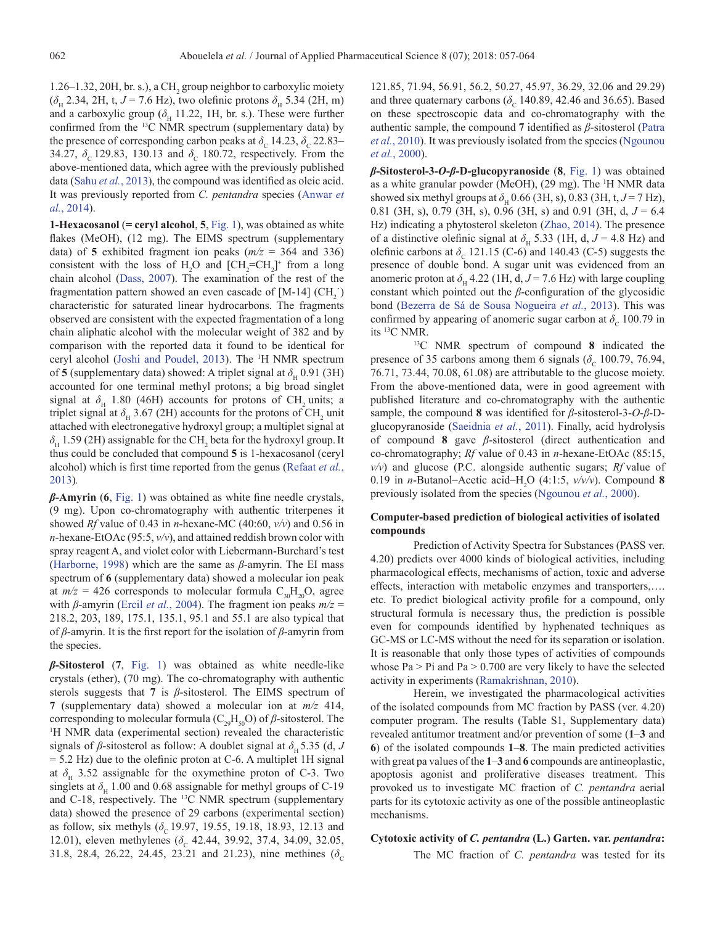1.26–1.32, 20H, br. s.), a  $CH<sub>2</sub>$  group neighbor to carboxylic moiety  $(\delta_{\rm H}$  2.34, 2H, t,  $J = 7.6$  Hz), two olefinic protons  $\delta_{\rm H}$  5.34 (2H, m) and a carboxylic group ( $\delta_H$  11.22, 1H, br. s.). These were further confirmed from the <sup>13</sup>C NMR spectrum (supplementary data) by the presence of corresponding carbon peaks at  $\delta_c$  14.23,  $\delta_c$  22.83– 34.27,  $\delta_c$  129.83, 130.13 and  $\delta_c$  180.72, respectively. From the above-mentioned data, which agree with the previously published data (Sahu *et al.*, 2013), the compound was identified as oleic acid. It was previously reported from *C. pentandra* species ([Anwar](#page-6-11) *et al.*[, 2014](#page-6-11)).

**1-Hexacosanol** (**= ceryl alcohol**, **5**, [Fig. 1](#page-4-0)), was obtained as white flakes (MeOH), (12 mg). The EIMS spectrum (supplementary data) of 5 exhibited fragment ion peaks  $(m/z = 364$  and 336) consistent with the loss of  $H_2O$  and  $[CH_2=CH_2]^+$  from a long chain alcohol [\(Dass, 2007\)](#page-6-12). The examination of the rest of the fragmentation pattern showed an even cascade of  $[M-14]$  (CH<sub>2</sub>) characteristic for saturated linear hydrocarbons. The fragments observed are consistent with the expected fragmentation of a long chain aliphatic alcohol with the molecular weight of 382 and by comparison with the reported data it found to be identical for ceryl alcohol [\(Joshi and Poudel, 2013\)](#page-7-15). The 1 H NMR spectrum of **5** (supplementary data) showed: A triplet signal at  $\delta_{\rm H}$  0.91 (3H) accounted for one terminal methyl protons; a big broad singlet signal at  $\delta_H$  1.80 (46H) accounts for protons of CH<sub>2</sub> units; a triplet signal at  $\delta_{\rm H}$  3.67 (2H) accounts for the protons of CH<sub>2</sub> unit attached with electronegative hydroxyl group; a multiplet signal at  $\delta$ <sub>H</sub> 1.59 (2H) assignable for the CH<sub>2</sub> beta for the hydroxyl group. It thus could be concluded that compound **5** is 1-hexacosanol (ceryl alcohol) which is first time reported from the genus ([Refaat](#page-7-16) *et al.*, [2013\)](#page-7-16)*.*

*β***-Amyrin** (**6**, [Fig. 1](#page-4-0)) was obtained as white fine needle crystals, (9 mg). Upon co-chromatography with authentic triterpenes it showed *Rf* value of 0.43 in *n*-hexane-MC (40:60, *v/v*) and 0.56 in *n*-hexane-EtOAc (95:5, *v/v*), and attained reddish brown color with spray reagent A, and violet color with Liebermann-Burchard's test ([Harborne, 1998\)](#page-7-17) which are the same as *β*-amyrin. The EI mass spectrum of **6** (supplementary data) showed a molecular ion peak at  $m/z = 426$  corresponds to molecular formula  $C_{30}H_{20}O$ , agree with *β*-amyrin (Ercil *et al.*[, 2004](#page-6-13)). The fragment ion peaks *m/z* = 218.2, 203, 189, 175.1, 135.1, 95.1 and 55.1 are also typical that of *β*-amyrin. It is the first report for the isolation of *β*-amyrin from the species.

*β***-Sitosterol** (**7**, [Fig. 1](#page-4-0)) was obtained as white needle-like crystals (ether), (70 mg). The co-chromatography with authentic sterols suggests that **7** is *β*-sitosterol. The EIMS spectrum of **7** (supplementary data) showed a molecular ion at *m/z* 414, corresponding to molecular formula  $(C_{29}H_{50}O)$  of  $\beta$ -sitosterol. The <sup>1</sup>H NMR data (experimental section) revealed the characteristic signals of  $\beta$ -sitosterol as follow: A doublet signal at  $\delta$ <sub>H</sub> 5.35 (d, *J* = 5.2 Hz) due to the olefinic proton at C-6. A multiplet 1H signal at  $\delta_H$  3.52 assignable for the oxymethine proton of C-3. Two singlets at  $\delta_{\rm H}$  1.00 and 0.68 assignable for methyl groups of C-19 and C-18, respectively. The 13C NMR spectrum (supplementary data) showed the presence of 29 carbons (experimental section) as follow, six methyls  $(\delta_c 19.97, 19.55, 19.18, 18.93, 12.13$  and 12.01), eleven methylenes (δ<sub>c</sub> 42.44, 39.92, 37.4, 34.09, 32.05, 31.8, 28.4, 26.22, 24.45, 23.21 and 21.23), nine methines ( $\delta_c$ 

121.85, 71.94, 56.91, 56.2, 50.27, 45.97, 36.29, 32.06 and 29.29) and three quaternary carbons  $(\delta_c 140.89, 42.46 \text{ and } 36.65)$ . Based on these spectroscopic data and co-chromatography with the authentic sample, the compound **7** identified as *β*-sitosterol (Patra *et al.*, 2010). It was previously isolated from the species ([Ngounou](#page-7-18) *et al.*[, 2000\)](#page-7-18).

*β***-Sitosterol-3-***O***-***β***-D-glucopyranoside** (**8**, [Fig. 1\)](#page-4-0) was obtained as a white granular powder (MeOH), (29 mg). The 1 H NMR data showed six methyl groups at  $\delta_{\rm H}$  0.66 (3H, s), 0.83 (3H, t,  $J = 7$  Hz), 0.81 (3H, s), 0.79 (3H, s), 0.96 (3H, s) and 0.91 (3H, d,  $J = 6.4$ Hz) indicating a phytosterol skeleton [\(Zhao, 2014](#page-7-19)). The presence of a distinctive olefinic signal at  $\delta_{\rm H}$  5.33 (1H, d,  $J = 4.8$  Hz) and olefinic carbons at  $\delta_c$  121.15 (C-6) and 140.43 (C-5) suggests the presence of double bond. A sugar unit was evidenced from an anomeric proton at  $\delta_{\rm H}$  4.22 (1H, d,  $J = 7.6$  Hz) with large coupling constant which pointed out the *β*-configuration of the glycosidic bond (Bezerra de Sá de Sousa Nogueira *et al.*, 2013). This was confirmed by appearing of anomeric sugar carbon at  $\delta_c$  100.79 in its 13C NMR.

13C NMR spectrum of compound **8** indicated the presence of 35 carbons among them 6 signals ( $\delta_c$  100.79, 76.94, 76.71, 73.44, 70.08, 61.08) are attributable to the glucose moiety. From the above-mentioned data, were in good agreement with published literature and co-chromatography with the authentic sample, the compound **8** was identified for *β*-sitosterol-3-*O*-*β*-Dglucopyranoside [\(Saeidnia](#page-7-20) *et al.*, 2011). Finally, acid hydrolysis of compound **8** gave *β*-sitosterol (direct authentication and co-chromatography; *Rf* value of 0.43 in *n*-hexane-EtOAc (85:15, *v/v*) and glucose (P.C. alongside authentic sugars; *Rf* value of 0.19 in *n*-Butanol–Acetic acid–H2 O (4:1:5, *v/v/v*). Compound **8** previously isolated from the species [\(Ngounou](#page-7-18) *et al.*, 2000).

# **Computer-based prediction of biological activities of isolated compounds**

Prediction of Activity Spectra for Substances (PASS ver. 4.20) predicts over 4000 kinds of biological activities, including pharmacological effects, mechanisms of action, toxic and adverse effects, interaction with metabolic enzymes and transporters,…. etc. To predict biological activity profile for a compound, only structural formula is necessary thus, the prediction is possible even for compounds identified by hyphenated techniques as GC-MS or LC-MS without the need for its separation or isolation. It is reasonable that only those types of activities of compounds whose  $Pa > Pi$  and  $Pa > 0.700$  are very likely to have the selected activity in experiments ([Ramakrishnan, 2010](#page-7-4)).

Herein, we investigated the pharmacological activities of the isolated compounds from MC fraction by PASS (ver. 4.20) computer program. The results (Table S1, Supplementary data) revealed antitumor treatment and/or prevention of some (**1**‒**3** and **6**) of the isolated compounds **1**‒**8**. The main predicted activities with great pa values of the **1**‒**3** and **6** compounds are antineoplastic, apoptosis agonist and proliferative diseases treatment. This provoked us to investigate MC fraction of *C. pentandra* aerial parts for its cytotoxic activity as one of the possible antineoplastic mechanisms.

# **Cytotoxic activity of** *C. pentandra* **(L.) Garten. var.** *pentandra***:**

The MC fraction of *C. pentandra* was tested for its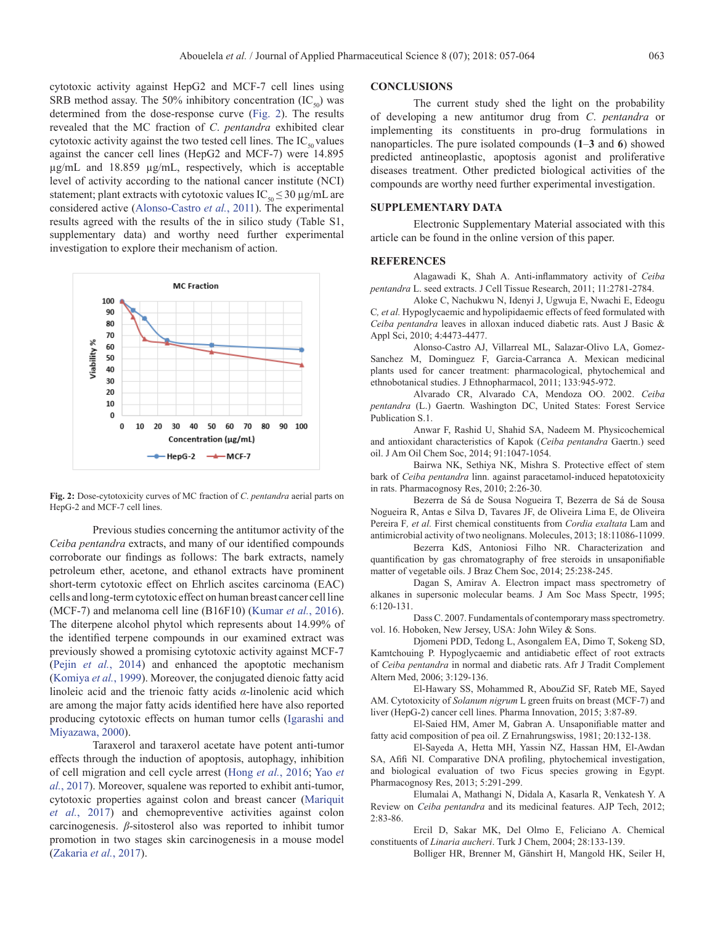cytotoxic activity against HepG2 and MCF-7 cell lines using SRB method assay. The 50% inhibitory concentration  $(IC_{\rm so})$  was determined from the dose-response curve [\(Fig. 2\)](#page-6-14). The results revealed that the MC fraction of *C*. *pentandra* exhibited clear cytotoxic activity against the two tested cell lines. The  $IC_{\text{so}}$  values against the cancer cell lines (HepG2 and MCF-7) were 14.895 µg/mL and 18.859 µg/mL, respectively, which is acceptable level of activity according to the national cancer institute (NCI) statement; plant extracts with cytotoxic values  $IC_{50} \leq 30 \mu g/mL$  are considered active ([Alonso-Castro](#page-6-15) *et al.*, 2011). The experimental results agreed with the results of the in silico study (Table S1, supplementary data) and worthy need further experimental investigation to explore their mechanism of action.



<span id="page-6-14"></span>**Fig. 2:** Dose-cytotoxicity curves of MC fraction of *C*. *pentandra* aerial parts on HepG-2 and MCF-7 cell lines.

Previous studies concerning the antitumor activity of the *Ceiba pentandra* extracts, and many of our identified compounds corroborate our findings as follows: The bark extracts, namely petroleum ether, acetone, and ethanol extracts have prominent short-term cytotoxic effect on Ehrlich ascites carcinoma (EAC) cells and long-term cytotoxic effect on human breast cancer cell line (MCF-7) and melanoma cell line (B16F10) ([Kumar](#page-7-21) *et al.*, 2016). The diterpene alcohol phytol which represents about 14.99% of the identified terpene compounds in our examined extract was previously showed a promising cytotoxic activity against MCF-7 (Pejin *et al.*[, 2014](#page-7-22)) and enhanced the apoptotic mechanism ([Komiya](#page-7-23) *et al.*, 1999). Moreover, the conjugated dienoic fatty acid linoleic acid and the trienoic fatty acids *α*-linolenic acid which are among the major fatty acids identified here have also reported producing cytotoxic effects on human tumor cells [\(Igarashi and](#page-7-24)  [Miyazawa, 2000](#page-7-24)).

Taraxerol and taraxerol acetate have potent anti-tumor effects through the induction of apoptosis, autophagy, inhibition of cell migration and cell cycle arrest (Hong *et al.*[, 2016](#page-7-25); Yao *et al.*, 2017). Moreover, squalene was reported to exhibit anti-tumor, cytotoxic properties against colon and breast cancer [\(Mariquit](#page-7-26)  *et al.*[, 2017](#page-7-26)) and chemopreventive activities against colon carcinogenesis. *β*-sitosterol also was reported to inhibit tumor promotion in two stages skin carcinogenesis in a mouse model ([Zakaria](#page-7-27) *et al.*, 2017).

# **CONCLUSIONS**

The current study shed the light on the probability of developing a new antitumor drug from *C*. *pentandra* or implementing its constituents in pro-drug formulations in nanoparticles. The pure isolated compounds (**1**‒**3** and **6**) showed predicted antineoplastic, apoptosis agonist and proliferative diseases treatment. Other predicted biological activities of the compounds are worthy need further experimental investigation.

# **SUPPLEMENTARY DATA**

Electronic Supplementary Material associated with this article can be found in the online version of this paper.

#### <span id="page-6-5"></span>**REFERENCES**

Alagawadi K, Shah A. Anti-inflammatory activity of *Ceiba pentandra* L. seed extracts. J Cell Tissue Research, 2011; 11:2781-2784.

<span id="page-6-3"></span>Aloke C, Nachukwu N, Idenyi J, Ugwuja E, Nwachi E, Edeogu C*, et al.* Hypoglycaemic and hypolipidaemic effects of feed formulated with *Ceiba pentandra* leaves in alloxan induced diabetic rats. Aust J Basic & Appl Sci, 2010; 4:4473-4477.

<span id="page-6-15"></span>Alonso-Castro AJ, Villarreal ML, Salazar-Olivo LA, Gomez-Sanchez M, Dominguez F, Garcia-Carranca A. Mexican medicinal plants used for cancer treatment: pharmacological, phytochemical and ethnobotanical studies. J Ethnopharmacol, 2011; 133:945-972.

<span id="page-6-0"></span>Alvarado CR, Alvarado CA, Mendoza OO. 2002. *Ceiba pentandra* (L.) Gaertn. Washington DC, United States: Forest Service Publication S.1.

<span id="page-6-11"></span>Anwar F, Rashid U, Shahid SA, Nadeem M. Physicochemical and antioxidant characteristics of Kapok (*Ceiba pentandra* Gaertn.) seed oil. J Am Oil Chem Soc, 2014; 91:1047-1054.

<span id="page-6-4"></span>Bairwa NK, Sethiya NK, Mishra S. Protective effect of stem bark of *Ceiba pentandra* linn. against paracetamol-induced hepatotoxicity in rats. Pharmacognosy Res, 2010; 2:26-30.

Bezerra de Sá de Sousa Nogueira T, Bezerra de Sá de Sousa Nogueira R, Antas e Silva D, Tavares JF, de Oliveira Lima E, de Oliveira Pereira F*, et al.* First chemical constituents from *Cordia exaltata* Lam and antimicrobial activity of two neolignans. Molecules, 2013; 18:11086-11099.

<span id="page-6-9"></span>Bezerra KdS, Antoniosi Filho NR. Characterization and quantification by gas chromatography of free steroids in unsaponifiable matter of vegetable oils. J Braz Chem Soc, 2014; 25:238-245.

<span id="page-6-10"></span>Dagan S, Amirav A. Electron impact mass spectrometry of alkanes in supersonic molecular beams. J Am Soc Mass Spectr, 1995; 6:120-131.

<span id="page-6-12"></span>Dass C. 2007. Fundamentals of contemporary mass spectrometry. vol. 16. Hoboken, New Jersey, USA: John Wiley & Sons.

<span id="page-6-2"></span>Djomeni PDD, Tedong L, Asongalem EA, Dimo T, Sokeng SD, Kamtchouing P. Hypoglycaemic and antidiabetic effect of root extracts of *Ceiba pentandra* in normal and diabetic rats. Afr J Tradit Complement Altern Med, 2006; 3:129-136.

<span id="page-6-8"></span>El-Hawary SS, Mohammed R, AbouZid SF, Rateb ME, Sayed AM. Cytotoxicity of *Solanum nigrum* L green fruits on breast (MCF-7) and liver (HepG-2) cancer cell lines. Pharma Innovation, 2015; 3:87-89.

<span id="page-6-6"></span>El-Saied HM, Amer M, Gabran A. Unsaponifiable matter and fatty acid composition of pea oil. Z Ernahrungswiss, 1981; 20:132-138.

<span id="page-6-7"></span>El-Sayeda A, Hetta MH, Yassin NZ, Hassan HM, El-Awdan SA, Afifi NI. Comparative DNA profiling, phytochemical investigation, and biological evaluation of two Ficus species growing in Egypt. Pharmacognosy Res, 2013; 5:291-299.

Elumalai A, Mathangi N, Didala A, Kasarla R, Venkatesh Y. A Review on *Ceiba pentandra* and its medicinal features. AJP Tech, 2012; 2:83-86.

Ercil D, Sakar MK, Del Olmo E, Feliciano A. Chemical constituents of *Linaria aucheri*. Turk J Chem, 2004; 28:133-139.

<span id="page-6-13"></span><span id="page-6-1"></span>Bolliger HR, Brenner M, Gänshirt H, Mangold HK, Seiler H,